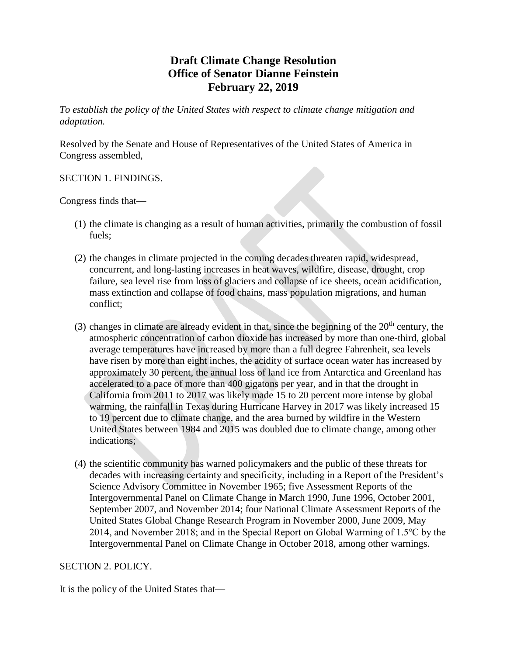## **Draft Climate Change Resolution Office of Senator Dianne Feinstein February 22, 2019**

*To establish the policy of the United States with respect to climate change mitigation and adaptation.*

Resolved by the Senate and House of Representatives of the United States of America in Congress assembled,

SECTION 1. FINDINGS.

Congress finds that—

- (1) the climate is changing as a result of human activities, primarily the combustion of fossil fuels;
- (2) the changes in climate projected in the coming decades threaten rapid, widespread, concurrent, and long-lasting increases in heat waves, wildfire, disease, drought, crop failure, sea level rise from loss of glaciers and collapse of ice sheets, ocean acidification, mass extinction and collapse of food chains, mass population migrations, and human conflict;
- (3) changes in climate are already evident in that, since the beginning of the  $20<sup>th</sup>$  century, the atmospheric concentration of carbon dioxide has increased by more than one-third, global average temperatures have increased by more than a full degree Fahrenheit, sea levels have risen by more than eight inches, the acidity of surface ocean water has increased by approximately 30 percent, the annual loss of land ice from Antarctica and Greenland has accelerated to a pace of more than 400 gigatons per year, and in that the drought in California from 2011 to 2017 was likely made 15 to 20 percent more intense by global warming, the rainfall in Texas during Hurricane Harvey in 2017 was likely increased 15 to 19 percent due to climate change, and the area burned by wildfire in the Western United States between 1984 and 2015 was doubled due to climate change, among other indications;
- (4) the scientific community has warned policymakers and the public of these threats for decades with increasing certainty and specificity, including in a Report of the President's Science Advisory Committee in November 1965; five Assessment Reports of the Intergovernmental Panel on Climate Change in March 1990, June 1996, October 2001, September 2007, and November 2014; four National Climate Assessment Reports of the United States Global Change Research Program in November 2000, June 2009, May 2014, and November 2018; and in the Special Report on Global Warming of 1.5℃ by the Intergovernmental Panel on Climate Change in October 2018, among other warnings.

## SECTION 2. POLICY.

It is the policy of the United States that—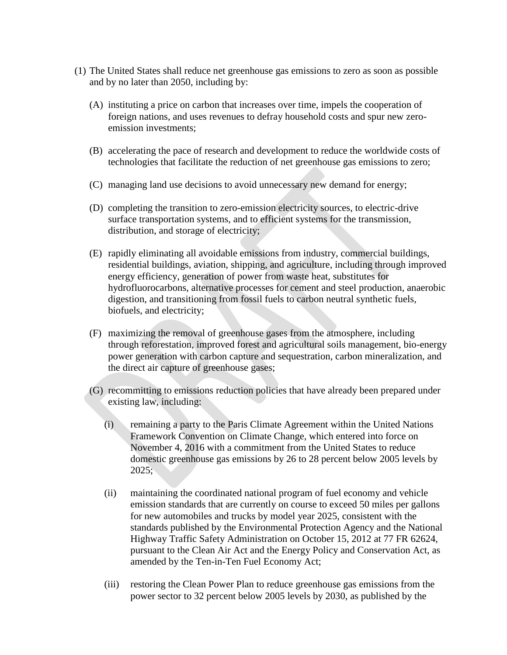- (1) The United States shall reduce net greenhouse gas emissions to zero as soon as possible and by no later than 2050, including by:
	- (A) instituting a price on carbon that increases over time, impels the cooperation of foreign nations, and uses revenues to defray household costs and spur new zeroemission investments;
	- (B) accelerating the pace of research and development to reduce the worldwide costs of technologies that facilitate the reduction of net greenhouse gas emissions to zero;
	- (C) managing land use decisions to avoid unnecessary new demand for energy;
	- (D) completing the transition to zero-emission electricity sources, to electric-drive surface transportation systems, and to efficient systems for the transmission, distribution, and storage of electricity;
	- (E) rapidly eliminating all avoidable emissions from industry, commercial buildings, residential buildings, aviation, shipping, and agriculture, including through improved energy efficiency, generation of power from waste heat, substitutes for hydrofluorocarbons, alternative processes for cement and steel production, anaerobic digestion, and transitioning from fossil fuels to carbon neutral synthetic fuels, biofuels, and electricity;
	- (F) maximizing the removal of greenhouse gases from the atmosphere, including through reforestation, improved forest and agricultural soils management, bio-energy power generation with carbon capture and sequestration, carbon mineralization, and the direct air capture of greenhouse gases;
	- (G) recommitting to emissions reduction policies that have already been prepared under existing law, including:
		- (i) remaining a party to the Paris Climate Agreement within the United Nations Framework Convention on Climate Change, which entered into force on November 4, 2016 with a commitment from the United States to reduce domestic greenhouse gas emissions by 26 to 28 percent below 2005 levels by  $2025$ ;
		- (ii) maintaining the coordinated national program of fuel economy and vehicle emission standards that are currently on course to exceed 50 miles per gallons for new automobiles and trucks by model year 2025, consistent with the standards published by the Environmental Protection Agency and the National Highway Traffic Safety Administration on October 15, 2012 at 77 FR 62624, pursuant to the Clean Air Act and the Energy Policy and Conservation Act, as amended by the Ten-in-Ten Fuel Economy Act;
		- (iii) restoring the Clean Power Plan to reduce greenhouse gas emissions from the power sector to 32 percent below 2005 levels by 2030, as published by the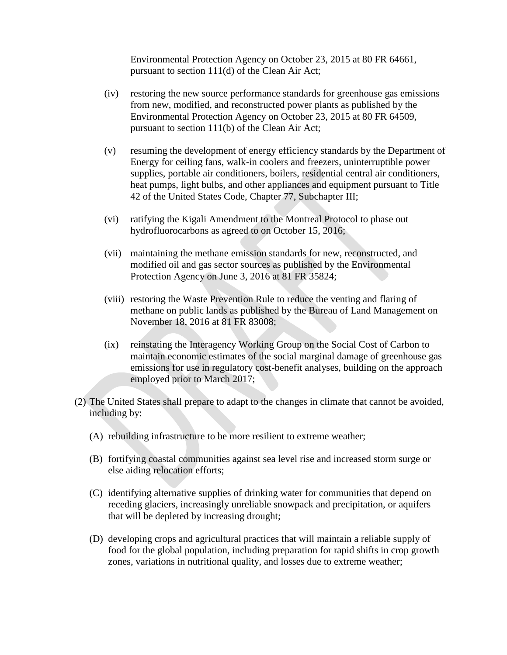Environmental Protection Agency on October 23, 2015 at 80 FR 64661, pursuant to section 111(d) of the Clean Air Act;

- (iv) restoring the new source performance standards for greenhouse gas emissions from new, modified, and reconstructed power plants as published by the Environmental Protection Agency on October 23, 2015 at 80 FR 64509, pursuant to section 111(b) of the Clean Air Act;
- (v) resuming the development of energy efficiency standards by the Department of Energy for ceiling fans, walk-in coolers and freezers, uninterruptible power supplies, portable air conditioners, boilers, residential central air conditioners, heat pumps, light bulbs, and other appliances and equipment pursuant to Title 42 of the United States Code, Chapter 77, Subchapter III;
- (vi) ratifying the Kigali Amendment to the Montreal Protocol to phase out hydrofluorocarbons as agreed to on October 15, 2016;
- (vii) maintaining the methane emission standards for new, reconstructed, and modified oil and gas sector sources as published by the Environmental Protection Agency on June 3, 2016 at 81 FR 35824;
- (viii) restoring the Waste Prevention Rule to reduce the venting and flaring of methane on public lands as published by the Bureau of Land Management on November 18, 2016 at 81 FR 83008;
- (ix) reinstating the Interagency Working Group on the Social Cost of Carbon to maintain economic estimates of the social marginal damage of greenhouse gas emissions for use in regulatory cost-benefit analyses, building on the approach employed prior to March 2017;
- (2) The United States shall prepare to adapt to the changes in climate that cannot be avoided, including by:
	- (A) rebuilding infrastructure to be more resilient to extreme weather;
	- (B) fortifying coastal communities against sea level rise and increased storm surge or else aiding relocation efforts;
	- (C) identifying alternative supplies of drinking water for communities that depend on receding glaciers, increasingly unreliable snowpack and precipitation, or aquifers that will be depleted by increasing drought;
	- (D) developing crops and agricultural practices that will maintain a reliable supply of food for the global population, including preparation for rapid shifts in crop growth zones, variations in nutritional quality, and losses due to extreme weather;